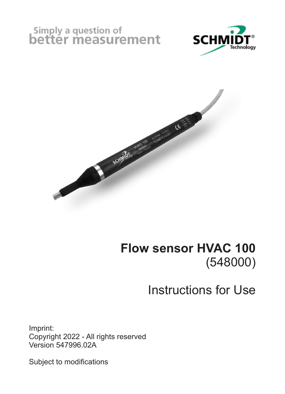# Simply a question of<br>better measurement





#### **Flow sensor HVAC 100** (548000)

## Instructions for Use

Imprint: Copyright 2022 - All rights reserved Version 547996.02A

Subject to modifications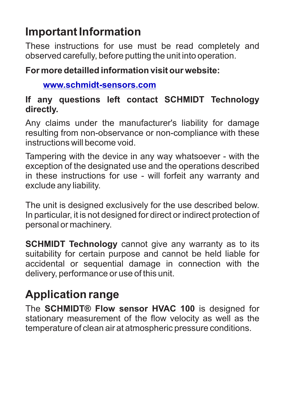#### **Important Information**

These instructions for use must be read completely and observed carefully, before putting the unit into operation.

#### **For more detailled information visit our website:**

#### **www.schmidt-sensors.com**

#### **If any questions left contact SCHMIDT Technology directly.**

Any claims under the manufacturer's liability for damage resulting from non-observance or non-compliance with these instructions will become void.

Tampering with the device in any way whatsoever - with the exception of the designated use and the operations described in these instructions for use - will forfeit any warranty and exclude any liability.

The unit is designed exclusively for the use described below. In particular, it is not designed for direct or indirect protection of personal or machinery.

**SCHMIDT Technology** cannot give any warranty as to its suitability for certain purpose and cannot be held liable for accidental or sequential damage in connection with the delivery, performance or use of this unit.

## **Application range**

The **SCHMIDT® Flow sensor HVAC 100** is designed for stationary measurement of the flow velocity as well as the temperature of clean air at atmospheric pressure conditions.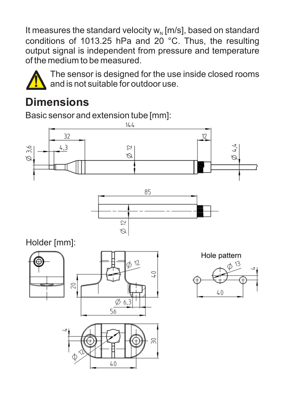It measures the standard velocity  $w<sub>N</sub>$  [m/s], based on standard conditions of 1013.25 hPa and 20 °C. Thus, the resulting output signal is independent from pressure and temperature of the medium to be measured.



The sensor is designed for the use inside closed rooms and is not suitable for outdoor use.

#### **Dimensions**

Basic sensor and extension tube [mm]:



 $\overline{\simeq}$  $\varnothing$ 

Holder [mm]:



 $40$ 

Hole pattern  $40^{1}$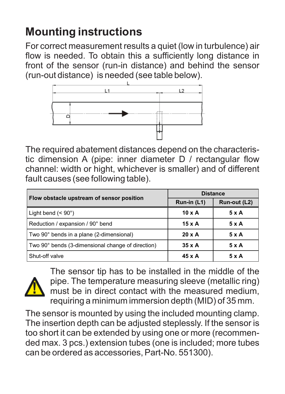#### **Mounting instructions**

For correct measurement results a quiet (low in turbulence) air flow is needed. To obtain this a sufficiently long distance in front of the sensor (run-in distance) and behind the sensor (run-out distance) is needed (see table below).



The required abatement distances depend on the characteristic dimension A (pipe: inner diameter D / rectangular flow channel: width or hight, whichever is smaller) and of different fault causes (see following table).

| Flow obstacle upstream of sensor position         | <b>Distance</b> |              |
|---------------------------------------------------|-----------------|--------------|
|                                                   | Run-in (L1)     | Run-out (L2) |
| Light bend $(< 90^\circ)$                         | $10 \times A$   | 5 x A        |
| Reduction / expansion / 90° bend                  | $15 \times A$   | 5xA          |
| Two 90° bends in a plane (2-dimensional)          | $20 \times A$   | $5 \times A$ |
| Two 90° bends (3-dimensional change of direction) | $35 \times A$   | 5xA          |
| Shut-off valve                                    | $45 \times A$   | $5 \times A$ |



The sensor tip has to be installed in the middle of the pipe. The temperature measuring sleeve (metallic ring) must be in direct contact with the measured medium, requiring a minimum immersion depth (MID) of 35 mm.

The sensor is mounted by using the included mounting clamp. The insertion depth can be adjusted steplessly. If the sensor is too short it can be extended by using one or more (recommended max. 3 pcs.) extension tubes (one is included; more tubes can be ordered as accessories, Part-No. 551300).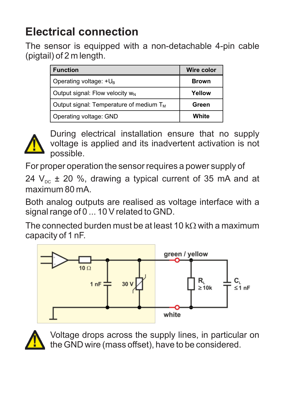#### **Electrical connection**

The sensor is equipped with a non-detachable 4-pin cable (pigtail) of 2 m length.

| <b>Function</b>                                     | <b>Wire color</b> |
|-----------------------------------------------------|-------------------|
| Operating voltage: +UR                              | Brown             |
| Output signal: Flow velocity w <sub>N</sub>         | Yellow            |
| Output signal: Temperature of medium T <sub>M</sub> | Green             |
| Operating voltage: GND                              | White             |



During electrical installation ensure that no supply voltage is applied and its inadvertent activation is not possible.

For proper operation the sensor requires a power supply of 24  $V_{\text{nc}}$  ± 20 %, drawing a typical current of 35 mA and at maximum 80 mA.

Both analog outputs are realised as voltage interface with a signal range of 0 ... 10 V related to GND.

The connected burden must be at least 10 kQ with a maximum capacity of 1 nF.





Voltage drops across the supply lines, in particular on the GND wire (mass offset), have to be considered.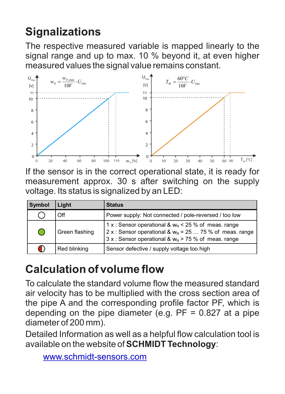## **Signalizations**

The respective measured variable is mapped linearly to the signal range and up to max. 10 % beyond it, at even higher measured values the signal value remains constant.



If the sensor is in the correct operational state, it is ready for measurement approx. 30 s after switching on the supply voltage. Its status is signalized by an LED:

| Symbol | Light          | <b>Status</b>                                                                                                                                                                            |
|--------|----------------|------------------------------------------------------------------------------------------------------------------------------------------------------------------------------------------|
|        | Off            | Power supply: Not connected / pole-reversed / too low                                                                                                                                    |
| С.     | Green flashing | 1 x : Sensor operational & w <sub>N</sub> < 25 % of meas. range<br>2 x : Sensor operational & $w_N$ = 25  75 % of meas. range<br>$3x$ : Sensor operational & $w_n$ > 75 % of meas. range |
|        | Red blinking   | Sensor defective / supply voltage too high                                                                                                                                               |

## **Calculation of volume flow**

To calculate the standard volume flow the measured standard air velocity has to be multiplied with the cross section area of the pipe A and the corresponding profile factor PF, which is depending on the pipe diameter  $(e, a, PF = 0.827$  at a pipe diameter of 200 mm).

Detailed Information as well as a helpful flow calculation tool is available on the website of **SCHMIDT Technology**:

```
www.schmidt-sensors.com
```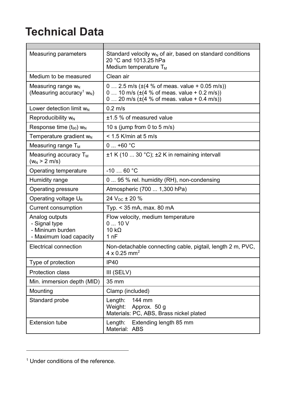#### **Technical Data**

| Measuring parameters                                                                | Standard velocity w <sub>N</sub> of air, based on standard conditions<br>20 °C and 1013.25 hPa<br>Medium temperature T <sub>M</sub>                              |
|-------------------------------------------------------------------------------------|------------------------------------------------------------------------------------------------------------------------------------------------------------------|
| Medium to be measured                                                               | Clean air                                                                                                                                                        |
| Measuring range w <sub>N</sub><br>(Measuring accuracy <sup>1</sup> W <sub>N</sub> ) | $0 2.5$ m/s ( $\pm$ (4 % of meas. value + 0.05 m/s))<br>$0 10$ m/s ( $\pm$ (4 % of meas, value + 0.2 m/s))<br>$0 20$ m/s ( $\pm$ (4 % of meas. value + 0.4 m/s)) |
| Lower detection limit ww                                                            | $0.2$ m/s                                                                                                                                                        |
| Reproducibility w <sub>N</sub>                                                      | +1.5 % of measured value                                                                                                                                         |
| Response time (t <sub>90</sub> ) WN                                                 | 10 s (jump from 0 to 5 m/s)                                                                                                                                      |
| Temperature gradient w <sub>N</sub>                                                 | $< 1.5$ K/min at 5 m/s                                                                                                                                           |
| Measuring range T <sub>M</sub>                                                      | $0 - +60 °C$                                                                                                                                                     |
| Measuring accuracy T <sub>M</sub><br>(w <sub>N</sub> > 2 m/s)                       | ±1 K (10  30 °C); ±2 K in remaining intervall                                                                                                                    |
| Operating temperature                                                               | $-1060 °C$                                                                                                                                                       |
| Humidity range                                                                      | 0  95 % rel. humidity (RH), non-condensing                                                                                                                       |
| Operating pressure                                                                  | Atmospheric (700  1,300 hPa)                                                                                                                                     |
| Operating voltage U <sub>B</sub>                                                    | 24 V <sub>nc</sub> ± 20 %                                                                                                                                        |
| Current consumption                                                                 | Typ. < 35 mA, max. 80 mA                                                                                                                                         |
| Analog outputs<br>- Signal type<br>- Mininum burden<br>- Maximum load capacity      | Flow velocity, medium temperature<br>$0 - 10V$<br>10 kD<br>1nF                                                                                                   |
| <b>Electrical connection</b>                                                        | Non-detachable connecting cable, pigtail, length 2 m, PVC,<br>$4 \times 0.25$ mm <sup>2</sup>                                                                    |
| Type of protection                                                                  | IP40                                                                                                                                                             |
| Protection class                                                                    | III (SELV)                                                                                                                                                       |
| Min. immersion depth (MID)                                                          | 35 mm                                                                                                                                                            |
| Mounting                                                                            | Clamp (included)                                                                                                                                                 |
| Standard probe                                                                      | 144 mm<br>Lenath:<br>Weight:<br>Approx. 50 g<br>Materials: PC, ABS, Brass nickel plated                                                                          |
| <b>Extension tube</b>                                                               | Lenath: Extending lenath 85 mm<br>Material: ABS                                                                                                                  |

 $\overline{a}$ 

<sup>1</sup> Under conditions of the reference.